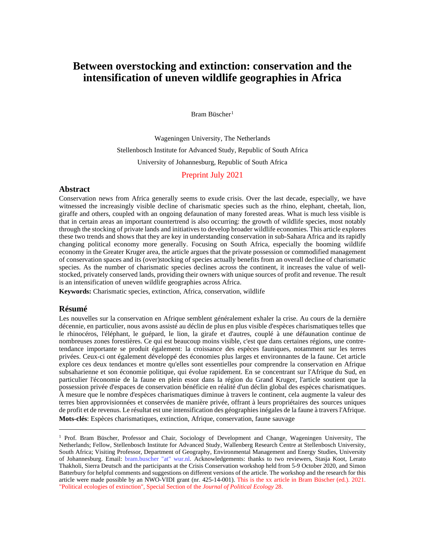# **Between overstocking and extinction: conservation and the intensification of uneven wildlife geographies in Africa**

Bram Büscher<sup>[1](#page-0-0)</sup>

Wageningen University, The Netherlands Stellenbosch Institute for Advanced Study, Republic of South Africa University of Johannesburg, Republic of South Africa

#### Preprint July 2021

#### **Abstract**

Conservation news from Africa generally seems to exude crisis. Over the last decade, especially, we have witnessed the increasingly visible decline of charismatic species such as the rhino, elephant, cheetah, lion, giraffe and others, coupled with an ongoing defaunation of many forested areas. What is much less visible is that in certain areas an important countertrend is also occurring: the growth of wildlife species, most notably through the stocking of private lands and initiatives to develop broader wildlife economies. This article explores these two trends and shows that they are key in understanding conservation in sub-Sahara Africa and its rapidly changing political economy more generally. Focusing on South Africa, especially the booming wildlife economy in the Greater Kruger area, the article argues that the private possession or commodified management of conservation spaces and its (over)stocking of species actually benefits from an overall decline of charismatic species. As the number of charismatic species declines across the continent, it increases the value of wellstocked, privately conserved lands, providing their owners with unique sources of profit and revenue. The result is an intensification of uneven wildlife geographies across Africa.

**Keywords:** Charismatic species, extinction, Africa, conservation, wildlife

#### **Résumé**

Les nouvelles sur la conservation en Afrique semblent généralement exhaler la crise. Au cours de la dernière décennie, en particulier, nous avons assisté au déclin de plus en plus visible d'espèces charismatiques telles que le rhinocéros, l'éléphant, le guépard, le lion, la girafe et d'autres, couplé à une défaunation continue de nombreuses zones forestières. Ce qui est beaucoup moins visible, c'est que dans certaines régions, une contretendance importante se produit également: la croissance des espèces fauniques, notamment sur les terres privées. Ceux-ci ont également développé des économies plus larges et environnantes de la faune. Cet article explore ces deux tendances et montre qu'elles sont essentielles pour comprendre la conservation en Afrique subsaharienne et son économie politique, qui évolue rapidement. En se concentrant sur l'Afrique du Sud, en particulier l'économie de la faune en plein essor dans la région du Grand Kruger, l'article soutient que la possession privée d'espaces de conservation bénéficie en réalité d'un déclin global des espèces charismatiques. À mesure que le nombre d'espèces charismatiques diminue à travers le continent, cela augmente la valeur des terres bien approvisionnées et conservées de manière privée, offrant à leurs propriétaires des sources uniques de profit et de revenus. Le résultat est une intensification des géographies inégales de la faune à travers l'Afrique. **Mots-clés**: Espèces charismatiques, extinction, Afrique, conservation, faune sauvage

<span id="page-0-0"></span><sup>&</sup>lt;sup>1</sup> Prof. Bram Büscher, Professor and Chair, Sociology of Development and Change, Wageningen University, The Netherlands; Fellow, Stellenbosch Institute for Advanced Study, Wallenberg Research Centre at Stellenbosch University, South Africa; Visiting Professor, Department of Geography, Environmental Management and Energy Studies, University of Johannesburg. Email: bram.buscher "at" wur.nl. Acknowledgements: thanks to two reviewers, Stasja Koot, Lerato Thakholi, Sierra Deutsch and the participants at the Crisis Conservation workshop held from 5-9 October 2020, and Simon Batterbury for helpful comments and suggestions on different versions of the article. The workshop and the research for this article were made possible by an NWO-VIDI grant (nr. 425-14-001). This is the xx article in Bram Büscher (ed.). 2021. "Political ecologies of extinction", Special Section of the *Journal of Political Ecology* 28.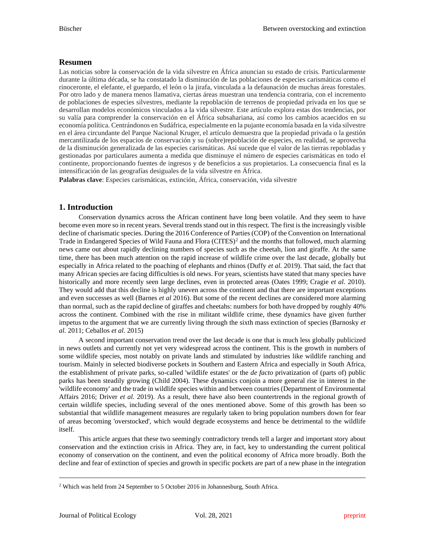## **Resumen**

Las noticias sobre la conservación de la vida silvestre en África anuncian su estado de crisis. Particularmente durante la última década, se ha constatado la disminución de las poblaciones de especies carismáticas como el rinoceronte, el elefante, el guepardo, el león o la jirafa, vinculada a la defaunación de muchas áreas forestales. Por otro lado y de manera menos llamativa, ciertas áreas muestran una tendencia contraria, con el incremento de poblaciones de especies silvestres, mediante la repoblación de terrenos de propiedad privada en los que se desarrollan modelos económicos vinculados a la vida silvestre. Este artículo explora estas dos tendencias, por su valía para comprender la conservación en el África subsahariana, así como los cambios acaecidos en su economía política. Centrándonos en Sudáfrica, especialmente en la pujante economía basada en la vida silvestre en el área circundante del Parque Nacional Kruger, el artículo demuestra que la propiedad privada o la gestión mercantilizada de los espacios de conservación y su (sobre)repoblación de especies, en realidad, se aprovecha de la disminución generalizada de las especies carismáticas. Así sucede que el valor de las tierras repobladas y gestionadas por particulares aumenta a medida que disminuye el número de especies carismáticas en todo el continente, proporcionando fuentes de ingresos y de beneficios a sus propietarios. La consecuencia final es la intensificación de las geografías desiguales de la vida silvestre en África.

**Palabras clave**: Especies carismáticas, extinción, África, conservación, vida silvestre

## **1. Introduction**

Conservation dynamics across the African continent have long been volatile. And they seem to have become even more so in recent years. Several trends stand out in this respect. The first is the increasingly visible decline of charismatic species. During the 2016 Conference of Parties (COP) of the Convention on International Trade in Endangered Species of Wild Fauna and Flora (CITES)<sup>[2](#page-1-0)</sup> and the months that followed, much alarming news came out about rapidly declining numbers of species such as the cheetah, lion and giraffe. At the same time, there has been much attention on the rapid increase of wildlife crime over the last decade, globally but especially in Africa related to the poaching of elephants and rhinos (Duffy *et al.* 2019). That said, the fact that many African species are facing difficulties is old news. For years, scientists have stated that many species have historically and more recently seen large declines, even in protected areas (Oates 1999; Cragie *et al.* 2010). They would add that this decline is highly uneven across the continent and that there are important exceptions and even successes as well (Barnes *et al* 2016). But some of the recent declines are considered more alarming than normal, such as the rapid decline of giraffes and cheetahs: numbers for both have dropped by roughly 40% across the continent. Combined with the rise in militant wildlife crime, these dynamics have given further impetus to the argument that we are currently living through the sixth mass extinction of species (Barnosky *et al.* 2011; Ceballos *et al*. 2015)

A second important conservation trend over the last decade is one that is much less globally publicized in news outlets and currently not yet very widespread across the continent. This is the growth in numbers of some wildlife species, most notably on private lands and stimulated by industries like wildlife ranching and tourism. Mainly in selected biodiverse pockets in Southern and Eastern Africa and especially in South Africa, the establishment of private parks, so-called 'wildlife estates' or the *de facto* privatization of (parts of) public parks has been steadily growing (Child 2004). These dynamics conjoin a more general rise in interest in the 'wildlife economy' and the trade in wildlife species within and between countries (Department of Environmental Affairs 2016; Driver *et al.* 2019). As a result, there have also been countertrends in the regional growth of certain wildlife species, including several of the ones mentioned above. Some of this growth has been so substantial that wildlife management measures are regularly taken to bring population numbers down for fear of areas becoming 'overstocked', which would degrade ecosystems and hence be detrimental to the wildlife itself.

This article argues that these two seemingly contradictory trends tell a larger and important story about conservation and the extinction crisis in Africa. They are, in fact, key to understanding the current political economy of conservation on the continent, and even the political economy of Africa more broadly. Both the decline and fear of extinction of species and growth in specific pockets are part of a new phase in the integration

<span id="page-1-0"></span><sup>2</sup> Which was held from 24 September to 5 October 2016 in Johannesburg, South Africa.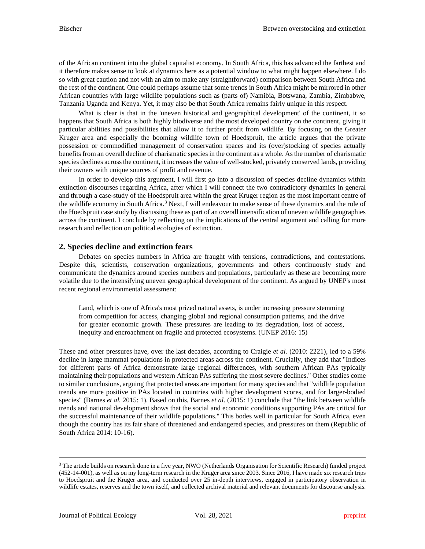of the African continent into the global capitalist economy. In South Africa, this has advanced the farthest and it therefore makes sense to look at dynamics here as a potential window to what might happen elsewhere. I do so with great caution and not with an aim to make any (straightforward) comparison between South Africa and the rest of the continent. One could perhaps assume that some trends in South Africa might be mirrored in other African countries with large wildlife populations such as (parts of) Namibia, Botswana, Zambia, Zimbabwe, Tanzania Uganda and Kenya. Yet, it may also be that South Africa remains fairly unique in this respect.

What is clear is that in the 'uneven historical and geographical development' of the continent, it so happens that South Africa is both highly biodiverse and the most developed country on the continent, giving it particular abilities and possibilities that allow it to further profit from wildlife. By focusing on the Greater Kruger area and especially the booming wildlife town of Hoedspruit, the article argues that the private possession or commodified management of conservation spaces and its (over)stocking of species actually benefits from an overall decline of charismatic species in the continent as a whole. As the number of charismatic species declines across the continent, it increases the value of well-stocked, privately conserved lands, providing their owners with unique sources of profit and revenue.

In order to develop this argument, I will first go into a discussion of species decline dynamics within extinction discourses regarding Africa, after which I will connect the two contradictory dynamics in general and through a case-study of the Hoedspruit area within the great Kruger region as the most important centre of the wildlife economy in South Africa.[3](#page-2-0) Next, I will endeavour to make sense of these dynamics and the role of the Hoedspruit case study by discussing these as part of an overall intensification of uneven wildlife geographies across the continent. I conclude by reflecting on the implications of the central argument and calling for more research and reflection on political ecologies of extinction.

## **2. Species decline and extinction fears**

Debates on species numbers in Africa are fraught with tensions, contradictions, and contestations. Despite this, scientists, conservation organizations, governments and others continuously study and communicate the dynamics around species numbers and populations, particularly as these are becoming more volatile due to the intensifying uneven geographical development of the continent. As argued by UNEP's most recent regional environmental assessment:

Land, which is one of Africa's most prized natural assets, is under increasing pressure stemming from competition for access, changing global and regional consumption patterns, and the drive for greater economic growth. These pressures are leading to its degradation, loss of access, inequity and encroachment on fragile and protected ecosystems. (UNEP 2016: 15)

These and other pressures have, over the last decades, according to Craigie *et al.* (2010: 2221), led to a 59% decline in large mammal populations in protected areas across the continent. Crucially, they add that "Indices for different parts of Africa demonstrate large regional differences, with southern African PAs typically maintaining their populations and western African PAs suffering the most severe declines." Other studies come to similar conclusions, arguing that protected areas are important for many species and that "wildlife population trends are more positive in PAs located in countries with higher development scores, and for larger-bodied species" (Barnes *et al.* 2015: 1). Based on this, Barnes *et al*. (2015: 1) conclude that "the link between wildlife trends and national development shows that the social and economic conditions supporting PAs are critical for the successful maintenance of their wildlife populations." This bodes well in particular for South Africa, even though the country has its fair share of threatened and endangered species, and pressures on them (Republic of South Africa 2014: 10-16).

<span id="page-2-0"></span><sup>&</sup>lt;sup>3</sup> The article builds on research done in a five year, NWO (Netherlands Organisation for Scientific Research) funded project (452-14-001), as well as on my long-term research in the Kruger area since 2003. Since 2016, I have made six research trips to Hoedspruit and the Kruger area, and conducted over 25 in-depth interviews, engaged in participatory observation in wildlife estates, reserves and the town itself, and collected archival material and relevant documents for discourse analysis.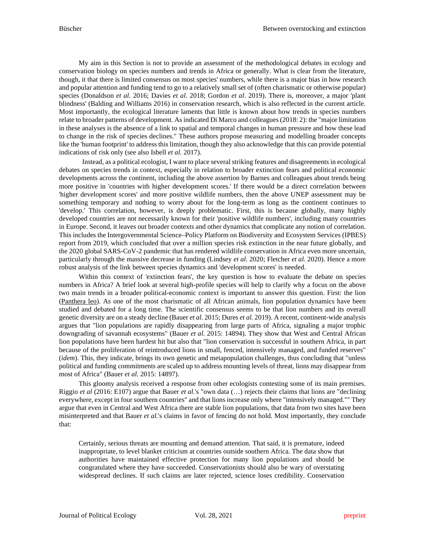My aim in this Section is not to provide an assessment of the methodological debates in ecology and conservation biology on species numbers and trends in Africa or generally. What is clear from the literature, though, it that there is limited consensus on most species' numbers, while there is a major bias in how research and popular attention and funding tend to go to a relatively small set of (often charismatic or otherwise popular) species (Donaldson *et al*. 2016; Davies *et al*. 2018; Gordon *et al*. 2019). There is, moreover, a major 'plant blindness' (Balding and Williams 2016) in conservation research, which is also reflected in the current article. Most importantly, the ecological literature laments that little is known about how trends in species numbers relate to broader patterns of development. As indicated Di Marco and colleagues (2018: 2): the "major limitation in these analyses is the absence of a link to spatial and temporal changes in human pressure and how these lead to change in the risk of species declines." These authors propose measuring and modelling broader concepts like the 'human footprint' to address this limitation, though they also acknowledge that this can provide potential indications of risk only (see also Isbell *et al.* 2017).

Instead, as a political ecologist, I want to place several striking features and disagreements in ecological debates on species trends in context, especially in relation to broader extinction fears and political economic developments across the continent, including the above assertion by Barnes and colleagues about trends being more positive in 'countries with higher development scores.' If there would be a direct correlation between 'higher development scores' and more positive wildlife numbers, then the above UNEP assessment may be something temporary and nothing to worry about for the long-term as long as the continent continues to 'develop.' This correlation, however, is deeply problematic. First, this is because globally, many highly developed countries are not necessarily known for their 'positive wildlife numbers', including many countries in Europe. Second, it leaves out broader contexts and other dynamics that complicate any notion of correlation. This includes the Intergovernmental Science–Policy Platform on Biodiversity and Ecosystem Services (IPBES) report from 2019, which concluded that over a million species risk extinction in the near future globally, and the 2020 global SARS-CoV-2 pandemic that has rendered wildlife conservation in Africa even more uncertain, particularly through the massive decrease in funding (Lindsey *et al.* 2020; Fletcher *et al.* 2020). Hence a more robust analysis of the link between species dynamics and 'development scores' is needed.

Within this context of 'extinction fears', the key question is how to evaluate the debate on species numbers in Africa? A brief look at several high-profile species will help to clarify why a focus on the above two main trends in a broader political-economic context is important to answer this question. First: the lion (Panthera leo). As one of the most charismatic of all African animals, lion population dynamics have been studied and debated for a long time. The scientific consensus seems to be that lion numbers and its overall genetic diversity are on a steady decline (Bauer *et al.* 2015; Dures *et al.* 2019). A recent, continent-wide analysis argues that "lion populations are rapidly disappearing from large parts of Africa, signaling a major trophic downgrading of savannah ecosystems" (Bauer *et al.* 2015: 14894). They show that West and Central African lion populations have been hardest hit but also that "lion conservation is successful in southern Africa, in part because of the proliferation of reintroduced lions in small, fenced, intensively managed, and funded reserves" (*idem*). This, they indicate, brings its own genetic and metapopulation challenges, thus concluding that "unless political and funding commitments are scaled up to address mounting levels of threat, lions may disappear from most of Africa" (Bauer *et al.* 2015: 14897).

This gloomy analysis received a response from other ecologists contesting some of its main premises. Riggio *et al* (2016: E107) argue that Bauer *et al.*'s "own data (…) rejects their claims that lions are "declining everywhere, except in four southern countries" and that lions increase only where "intensively managed."" They argue that even in Central and West Africa there are stable lion populations, that data from two sites have been misinterpreted and that Bauer *et al.*'s claims in favor of fencing do not hold. Most importantly, they conclude that:

Certainly, serious threats are mounting and demand attention. That said, it is premature, indeed inappropriate, to level blanket criticism at countries outside southern Africa. The data show that authorities have maintained effective protection for many lion populations and should be congratulated where they have succeeded. Conservationists should also be wary of overstating widespread declines. If such claims are later rejected, science loses credibility. Conservation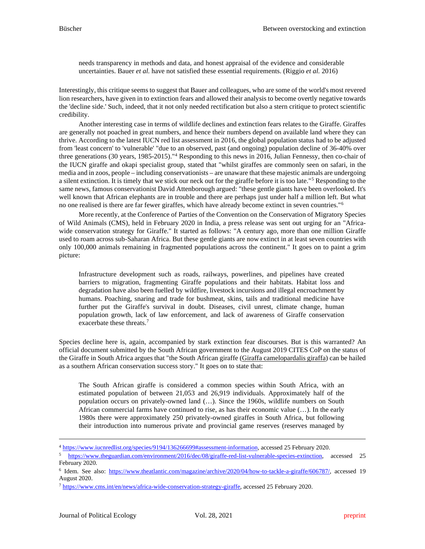needs transparency in methods and data, and honest appraisal of the evidence and considerable uncertainties. Bauer *et al.* have not satisfied these essential requirements. (Riggio *et al.* 2016)

Interestingly, this critique seems to suggest that Bauer and colleagues, who are some of the world's most revered lion researchers, have given in to extinction fears and allowed their analysis to become overtly negative towards the 'decline side.' Such, indeed, that it not only needed rectification but also a stern critique to protect scientific credibility.

Another interesting case in terms of wildlife declines and extinction fears relates to the Giraffe. Giraffes are generally not poached in great numbers, and hence their numbers depend on available land where they can thrive. According to the latest IUCN red list assessment in 2016, the global population status had to be adjusted from 'least concern' to 'vulnerable' "due to an observed, past (and ongoing) population decline of 36-40% over three generations (30 years, 1985-2015)."[4](#page-4-0) Responding to this news in 2016, Julian Fennessy, then co-chair of the IUCN giraffe and okapi specialist group, stated that "whilst giraffes are commonly seen on safari, in the media and in zoos, people – including conservationists – are unaware that these majestic animals are undergoing a silent extinction. It is timely that we stick our neck out for the giraffe before it is too late."[5](#page-4-1) Responding to the same news, famous conservationist David Attenborough argued: "these gentle giants have been overlooked. It's well known that African elephants are in trouble and there are perhaps just under half a million left. But what no one realised is there are far fewer giraffes, which have already become extinct in seven countries."[6](#page-4-2)

More recently, at the Conference of Parties of the Convention on the Conservation of Migratory Species of Wild Animals (CMS), held in February 2020 in India, a press release was sent out urging for an "Africawide conservation strategy for Giraffe." It started as follows: "A century ago, more than one million Giraffe used to roam across sub-Saharan Africa. But these gentle giants are now extinct in at least seven countries with only 100,000 animals remaining in fragmented populations across the continent." It goes on to paint a grim picture:

Infrastructure development such as roads, railways, powerlines, and pipelines have created barriers to migration, fragmenting Giraffe populations and their habitats. Habitat loss and degradation have also been fuelled by wildfire, livestock incursions and illegal encroachment by humans. Poaching, snaring and trade for bushmeat, skins, tails and traditional medicine have further put the Giraffe's survival in doubt. Diseases, civil unrest, climate change, human population growth, lack of law enforcement, and lack of awareness of Giraffe conservation exacerbate these threats<sup>[7](#page-4-3)</sup>

Species decline here is, again, accompanied by stark extinction fear discourses. But is this warranted? An official document submitted by the South African government to the August 2019 CITES CoP on the status of the Giraffe in South Africa argues that "the South African giraffe (Giraffa camelopardalis giraffa) can be hailed as a southern African conservation success story." It goes on to state that:

The South African giraffe is considered a common species within South Africa, with an estimated population of between 21,053 and 26,919 individuals. Approximately half of the population occurs on privately-owned land (…). Since the 1960s, wildlife numbers on South African commercial farms have continued to rise, as has their economic value (…). In the early 1980s there were approximately 250 privately-owned giraffes in South Africa, but following their introduction into numerous private and provincial game reserves (reserves managed by

<span id="page-4-0"></span><sup>4</sup> [https://www.iucnredlist.org/species/9194/136266699#assessment-information,](https://www.iucnredlist.org/species/9194/136266699#assessment-information) accessed 25 February 2020.

<span id="page-4-1"></span><sup>5</sup> [https://www.theguardian.com/environment/2016/dec/08/giraffe-red-list-vulnerable-species-extinction,](https://www.theguardian.com/environment/2016/dec/08/giraffe-red-list-vulnerable-species-extinction) accessed 25 February 2020.

<span id="page-4-2"></span><sup>6</sup> Idem. See also: [https://www.theatlantic.com/magazine/archive/2020/04/how-to-tackle-a-giraffe/606787/,](https://www.theatlantic.com/magazine/archive/2020/04/how-to-tackle-a-giraffe/606787/) accessed 19 August 2020.

<span id="page-4-3"></span><sup>7</sup> [https://www.cms.int/en/news/africa-wide-conservation-strategy-giraffe,](https://www.cms.int/en/news/africa-wide-conservation-strategy-giraffe) accessed 25 February 2020.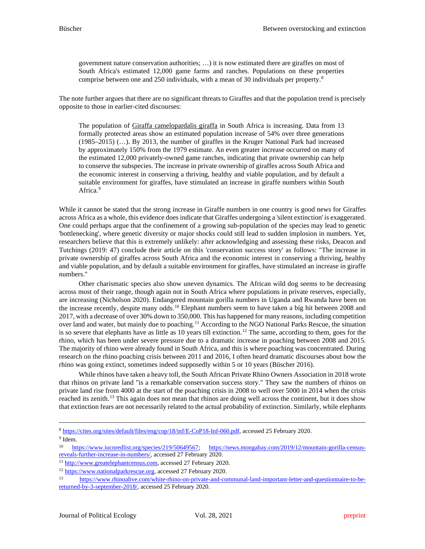government nature conservation authorities; …) it is now estimated there are giraffes on most of South Africa's estimated 12,000 game farms and ranches. Populations on these properties comprise between one and 250 individuals, with a mean of 30 individuals per property.[8](#page-5-0)

The note further argues that there are no significant threats to Giraffes and that the population trend is precisely opposite to those in earlier-cited discourses:

The population of Giraffa camelopardalis giraffa in South Africa is increasing. Data from 13 formally protected areas show an estimated population increase of 54% over three generations (1985–2015) (…). By 2013, the number of giraffes in the Kruger National Park had increased by approximately 150% from the 1979 estimate. An even greater increase occurred on many of the estimated 12,000 privately-owned game ranches, indicating that private ownership can help to conserve the subspecies. The increase in private ownership of giraffes across South Africa and the economic interest in conserving a thriving, healthy and viable population, and by default a suitable environment for giraffes, have stimulated an increase in giraffe numbers within South Africa.<sup>[9](#page-5-1)</sup>

While it cannot be stated that the strong increase in Giraffe numbers in one country is good news for Giraffes across Africa as a whole, this evidence does indicate that Giraffes undergoing a 'silent extinction' is exaggerated. One could perhaps argue that the confinement of a growing sub-population of the species may lead to genetic 'bottlenecking', where genetic diversity or major shocks could still lead to sudden implosion in numbers. Yet, researchers believe that this is extremely unlikely: after acknowledging and assessing these risks, Deacon and Tutchings (2019: 47) conclude their article on this 'conservation success story' as follows: "The increase in private ownership of giraffes across South Africa and the economic interest in conserving a thriving, healthy and viable population, and by default a suitable environment for giraffes, have stimulated an increase in giraffe numbers."

Other charismatic species also show uneven dynamics. The African wild dog seems to be decreasing across most of their range, though again not in South Africa where populations in private reserves, especially, are increasing (Nicholson 2020). Endangered mountain gorilla numbers in Uganda and Rwanda have been on the increase recently, despite many odds.<sup>[10](#page-5-2)</sup> Elephant numbers seem to have taken a big hit between 2008 and 2017, with a decrease of over 30% down to 350,000. This has happened for many reasons, including competition over land and water, but mainly due to poaching.[11](#page-5-3) According to the NGO National Parks Rescue, the situation is so severe that elephants have as little as 10 years till extinction.<sup>[12](#page-5-4)</sup> The same, according to them, goes for the rhino, which has been under severe pressure due to a dramatic increase in poaching between 2008 and 2015. The majority of rhino were already found in South Africa, and this is where poaching was concentrated. During research on the rhino poaching crisis between 2011 and 2016, I often heard dramatic discourses about how the rhino was going extinct, sometimes indeed supposedly within 5 or 10 years (Büscher 2016).

While rhinos have taken a heavy toll, the South African Private Rhino Owners Association in 2018 wrote that rhinos on private land "is a remarkable conservation success story." They saw the numbers of rhinos on private land rise from 4000 at the start of the poaching crisis in 2008 to well over 5000 in 2014 when the crisis reached its zenith.<sup>[13](#page-5-5)</sup> This again does not mean that rhinos are doing well across the continent, but it does show that extinction fears are not necessarily related to the actual probability of extinction. Similarly, while elephants

<span id="page-5-1"></span><sup>9</sup> Idem.

<span id="page-5-0"></span><sup>8</sup> [https://cites.org/sites/default/files/eng/cop/18/inf/E-CoP18-Inf-060.pdf,](https://cites.org/sites/default/files/eng/cop/18/inf/E-CoP18-Inf-060.pdf) accessed 25 February 2020.

<span id="page-5-2"></span><sup>10</sup> [https://www.iucnredlist.org/species/219/50649567;](https://www.iucnredlist.org/species/219/50649567) [https://news.mongabay.com/2019/12/mountain-gorilla-census](https://news.mongabay.com/2019/12/mountain-gorilla-census-reveals-further-increase-in-numbers/)[reveals-further-increase-in-numbers/,](https://news.mongabay.com/2019/12/mountain-gorilla-census-reveals-further-increase-in-numbers/) accessed 27 February 2020.

<span id="page-5-3"></span><sup>11</sup> [http://www.greatelephantcensus.com,](http://www.greatelephantcensus.com/) accessed 27 February 2020.

<span id="page-5-4"></span><sup>&</sup>lt;sup>12</sup> [https://www.nationalparkrescue.org,](https://www.nationalparkrescue.org/) accessed 27 February 2020.

<span id="page-5-5"></span><sup>13</sup> [https://www.rhinoalive.com/white-rhino-on-private-and-communal-land-important-letter-and-questionnaire-to-be](https://www.rhinoalive.com/white-rhino-on-private-and-communal-land-important-letter-and-questionnaire-to-be-returned-by-3-september-2018/)[returned-by-3-september-2018/,](https://www.rhinoalive.com/white-rhino-on-private-and-communal-land-important-letter-and-questionnaire-to-be-returned-by-3-september-2018/) accessed 25 February 2020.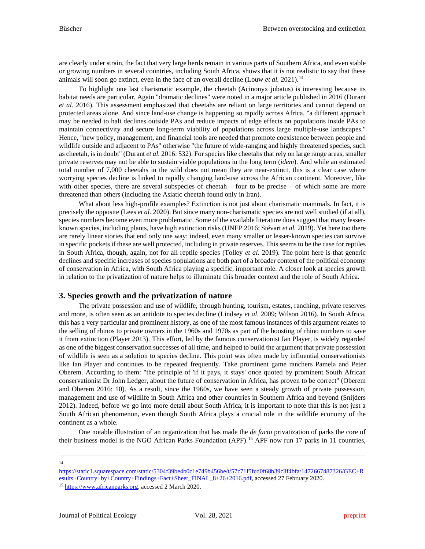are clearly under strain, the fact that very large herds remain in various parts of Southern Africa, and even stable or growing numbers in several countries, including South Africa, shows that it is not realistic to say that these animals will soon go extinct, even in the face of an overall decline (Louw *et al.* 2021). [14](#page-6-0)

To highlight one last charismatic example, the cheetah (Acinonyx jubatus) is interesting because its habitat needs are particular. Again "dramatic declines" were noted in a major article published in 2016 (Durant *et al.* 2016). This assessment emphasized that cheetahs are reliant on large territories and cannot depend on protected areas alone. And since land-use change is happening so rapidly across Africa, "a different approach may be needed to halt declines outside PAs and reduce impacts of edge effects on populations inside PAs to maintain connectivity and secure long-term viability of populations across large multiple-use landscapes." Hence, "new policy, management, and financial tools are needed that promote coexistence between people and wildlife outside and adjacent to PAs" otherwise "the future of wide-ranging and highly threatened species, such as cheetah, is in doubt" (Durant *et al.* 2016: 532). For species like cheetahs that rely on large range areas, smaller private reserves may not be able to sustain viable populations in the long term (*idem*). And while an estimated total number of 7,000 cheetahs in the wild does not mean they are near-extinct, this is a clear case where worrying species decline is linked to rapidly changing land-use across the African continent. Moreover, like with other species, there are several subspecies of cheetah – four to be precise – of which some are more threatened than others (including the Asiatic cheetah found only in Iran).

What about less high-profile examples? Extinction is not just about charismatic mammals. In fact, it is precisely the opposite (Lees *et al.* 2020). But since many non-charismatic species are not well studied (if at all), species numbers become even more problematic. Some of the available literature does suggest that many lesserknown species, including plants, have high extinction risks (UNEP 2016; Stévart *et al.* 2019). Yet here too there are rarely linear stories that end only one way; indeed, even many smaller or lesser-known species can survive in specific pockets if these are well protected, including in private reserves. This seems to be the case for reptiles in South Africa, though, again, not for all reptile species (Tolley *et al.* 2019). The point here is that generic declines and specific increases of species populations are both part of a broader context of the political economy of conservation in Africa, with South Africa playing a specific, important role. A closer look at species growth in relation to the privatization of nature helps to illuminate this broader context and the role of South Africa.

# **3. Species growth and the privatization of nature**

The private possession and use of wildlife, through hunting, tourism, estates, ranching, private reserves and more, is often seen as an antidote to species decline (Lindsey *et al*. 2009; Wilson 2016). In South Africa, this has a very particular and prominent history, as one of the most famous instances of this argument relates to the selling of rhinos to private owners in the 1960s and 1970s as part of the boosting of rhino numbers to save it from extinction (Player 2013). This effort, led by the famous conservationist Ian Player, is widely regarded as one of the biggest conservation successes of all time, and helped to build the argument that private possession of wildlife is seen as a solution to species decline. This point was often made by influential conservationists like Ian Player and continues to be repeated frequently. Take prominent game ranchers Pamela and Peter Oberem. According to them: "the principle of 'if it pays, it stays' once quoted by prominent South African conservationist Dr John Ledger, about the future of conservation in Africa, has proven to be correct" (Oberem and Oberem 2016: 10). As a result, since the 1960s, we have seen a steady growth of private possession, management and use of wildlife in South Africa and other countries in Southern Africa and beyond (Snijders 2012). Indeed, before we go into more detail about South Africa, it is important to note that this is not just a South African phenomenon, even though South Africa plays a crucial role in the wildlife economy of the continent as a whole.

One notable illustration of an organization that has made the *de facto* privatization of parks the core of their business model is the NGO African Parks Foundation (APF).<sup>[15](#page-6-1)</sup> APF now run 17 parks in 11 countries,

14

<span id="page-6-1"></span><span id="page-6-0"></span>[https://static1.squarespace.com/static/5304f39be4b0c1e749b456be/t/57c71f5fcd0f68b39c3f4bfa/1472667487326/GEC+R](https://static1.squarespace.com/static/5304f39be4b0c1e749b456be/t/57c71f5fcd0f68b39c3f4bfa/1472667487326/GEC+Results+Country+by+Country+Findings+Fact+Sheet_FINAL_8+26+2016.pdf) [esults+Country+by+Country+Findings+Fact+Sheet\\_FINAL\\_8+26+2016.pdf,](https://static1.squarespace.com/static/5304f39be4b0c1e749b456be/t/57c71f5fcd0f68b39c3f4bfa/1472667487326/GEC+Results+Country+by+Country+Findings+Fact+Sheet_FINAL_8+26+2016.pdf) accessed 27 February 2020. <sup>15</sup> [https://www.africanparks.org,](https://www.africanparks.org/) accessed 2 March 2020.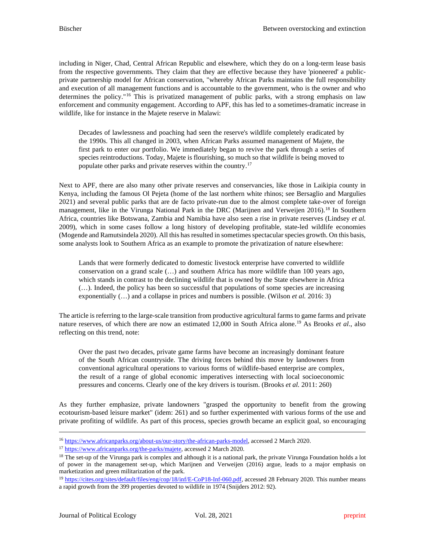including in Niger, Chad, Central African Republic and elsewhere, which they do on a long-term lease basis from the respective governments. They claim that they are effective because they have 'pioneered' a publicprivate partnership model for African conservation, "whereby African Parks maintains the full responsibility and execution of all management functions and is accountable to the government, who is the owner and who determines the policy."[16](#page-7-0) This is privatized management of public parks, with a strong emphasis on law enforcement and community engagement. According to APF, this has led to a sometimes-dramatic increase in wildlife, like for instance in the Majete reserve in Malawi:

Decades of lawlessness and poaching had seen the reserve's wildlife completely eradicated by the 1990s. This all changed in 2003, when African Parks assumed management of Majete, the first park to enter our portfolio. We immediately began to revive the park through a series of species reintroductions. Today, Majete is flourishing, so much so that wildlife is being moved to populate other parks and private reserves within the country[.17](#page-7-1)

Next to APF, there are also many other private reserves and conservancies, like those in Laikipia county in Kenya, including the famous Ol Pejeta (home of the last northern white rhinos; see Bersaglio and Margulies 2021) and several public parks that are de facto private-run due to the almost complete take-over of foreign management, like in the Virunga National Park in the DRC (Marijnen and Verweijen 2016).<sup>[18](#page-7-2)</sup> In Southern Africa, countries like Botswana, Zambia and Namibia have also seen a rise in private reserves (Lindsey *et al.* 2009), which in some cases follow a long history of developing profitable, state-led wildlife economies (Mogende and Ramutsindela 2020). All this has resulted in sometimes spectacular species growth. On this basis, some analysts look to Southern Africa as an example to promote the privatization of nature elsewhere:

Lands that were formerly dedicated to domestic livestock enterprise have converted to wildlife conservation on a grand scale (…) and southern Africa has more wildlife than 100 years ago, which stands in contrast to the declining wildlife that is owned by the State elsewhere in Africa (…). Indeed, the policy has been so successful that populations of some species are increasing exponentially (…) and a collapse in prices and numbers is possible. (Wilson *et al.* 2016: 3)

The article is referring to the large-scale transition from productive agricultural farms to game farms and private nature reserves, of which there are now an estimated 12,000 in South Africa alone.[19](#page-7-3) As Brooks *et al*., also reflecting on this trend, note:

Over the past two decades, private game farms have become an increasingly dominant feature of the South African countryside. The driving forces behind this move by landowners from conventional agricultural operations to various forms of wildlife-based enterprise are complex, the result of a range of global economic imperatives intersecting with local socioeconomic pressures and concerns. Clearly one of the key drivers is tourism. (Brooks *et al.* 2011: 260)

As they further emphasize, private landowners "grasped the opportunity to benefit from the growing ecotourism-based leisure market" (idem: 261) and so further experimented with various forms of the use and private profiting of wildlife. As part of this process, species growth became an explicit goal, so encouraging

<span id="page-7-0"></span><sup>16</sup> [https://www.africanparks.org/about-us/our-story/the-african-parks-model,](https://www.africanparks.org/about-us/our-story/the-african-parks-model) accessed 2 March 2020.

<span id="page-7-1"></span><sup>&</sup>lt;sup>17</sup> [https://www.africanparks.org/the-parks/majete,](https://www.africanparks.org/the-parks/majete) accessed 2 March 2020.

<span id="page-7-2"></span><sup>&</sup>lt;sup>18</sup> The set-up of the Virunga park is complex and although it is a national park, the private Virunga Foundation holds a lot of power in the management set-up, which Marijnen and Verweijen (2016) argue, leads to a major emphasis on marketization and green militarization of the park.

<span id="page-7-3"></span><sup>&</sup>lt;sup>19</sup> [https://cites.org/sites/default/files/eng/cop/18/inf/E-CoP18-Inf-060.pdf,](https://cites.org/sites/default/files/eng/cop/18/inf/E-CoP18-Inf-060.pdf) accessed 28 February 2020. This number means a rapid growth from the 399 properties devoted to wildlife in 1974 (Snijders 2012: 92).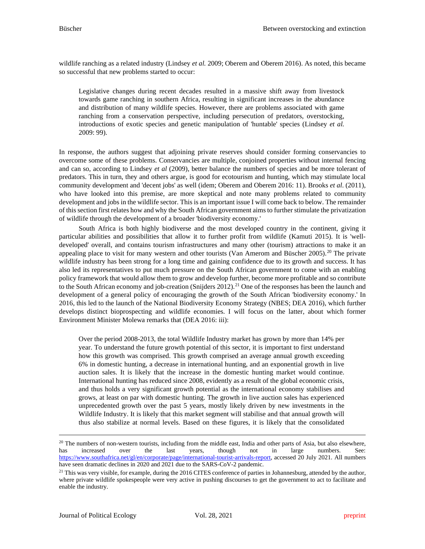wildlife ranching as a related industry (Lindsey *et al.* 2009; Oberem and Oberem 2016). As noted, this became so successful that new problems started to occur:

Legislative changes during recent decades resulted in a massive shift away from livestock towards game ranching in southern Africa, resulting in significant increases in the abundance and distribution of many wildlife species. However, there are problems associated with game ranching from a conservation perspective, including persecution of predators, overstocking, introductions of exotic species and genetic manipulation of 'huntable' species (Lindsey *et al.* 2009: 99).

In response, the authors suggest that adjoining private reserves should consider forming conservancies to overcome some of these problems. Conservancies are multiple, conjoined properties without internal fencing and can so, according to Lindsey *et al* (2009), better balance the numbers of species and be more tolerant of predators. This in turn, they and others argue, is good for ecotourism and hunting, which may stimulate local community development and 'decent jobs' as well (idem; Oberem and Oberem 2016: 11). Brooks *et al*. (2011), who have looked into this premise, are more skeptical and note many problems related to community development and jobs in the wildlife sector. This is an important issue I will come back to below. The remainder of thissection first relates how and why the South African government aims to further stimulate the privatization of wildlife through the development of a broader 'biodiversity economy.'

South Africa is both highly biodiverse and the most developed country in the continent, giving it particular abilities and possibilities that allow it to further profit from wildlife (Kamuti 2015). It is 'welldeveloped' overall, and contains tourism infrastructures and many other (tourism) attractions to make it an appealing place to visit for many western and other tourists (Van Amerom and Büscher [20](#page-8-0)05).<sup>20</sup> The private wildlife industry has been strong for a long time and gaining confidence due to its growth and success. It has also led its representatives to put much pressure on the South African government to come with an enabling policy framework that would allow them to grow and develop further, become more profitable and so contribute to the South African economy and job-creation (Snijders 2012). [21](#page-8-1) One of the responses has been the launch and development of a general policy of encouraging the growth of the South African 'biodiversity economy.' In 2016, this led to the launch of the National Biodiversity Economy Strategy (NBES; DEA 2016), which further develops distinct bioprospecting and wildlife economies. I will focus on the latter, about which former Environment Minister Molewa remarks that (DEA 2016: iii):

Over the period 2008-2013, the total Wildlife Industry market has grown by more than 14% per year. To understand the future growth potential of this sector, it is important to first understand how this growth was comprised. This growth comprised an average annual growth exceeding 6% in domestic hunting, a decrease in international hunting, and an exponential growth in live auction sales. It is likely that the increase in the domestic hunting market would continue. International hunting has reduced since 2008, evidently as a result of the global economic crisis, and thus holds a very significant growth potential as the international economy stabilises and grows, at least on par with domestic hunting. The growth in live auction sales has experienced unprecedented growth over the past 5 years, mostly likely driven by new investments in the Wildlife Industry. It is likely that this market segment will stabilise and that annual growth will thus also stabilize at normal levels. Based on these figures, it is likely that the consolidated

<span id="page-8-0"></span><sup>&</sup>lt;sup>20</sup> The numbers of non-western tourists, including from the middle east, India and other parts of Asia, but also elsewhere, has increased over the last years, though not in large numbers. See: [https://www.southafrica.net/gl/en/corporate/page/international-tourist-arrivals-report,](https://www.southafrica.net/gl/en/corporate/page/international-tourist-arrivals-report) accessed 20 July 2021. All numbers have seen dramatic declines in 2020 and 2021 due to the SARS-CoV-2 pandemic.

<span id="page-8-1"></span><sup>&</sup>lt;sup>21</sup> This was very visible, for example, during the 2016 CITES conference of parties in Johannesburg, attended by the author, where private wildlife spokespeople were very active in pushing discourses to get the government to act to facilitate and enable the industry.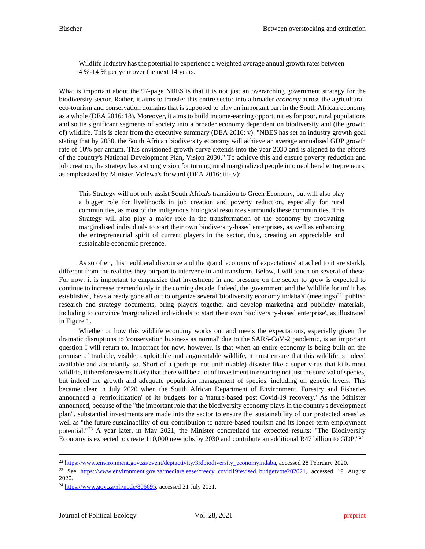Wildlife Industry has the potential to experience a weighted average annual growth rates between 4 %-14 % per year over the next 14 years.

What is important about the 97-page NBES is that it is not just an overarching government strategy for the biodiversity sector. Rather, it aims to transfer this entire sector into a broader *economy* across the agricultural, eco-tourism and conservation domains that is supposed to play an important part in the South African economy as a whole (DEA 2016: 18). Moreover, it aims to build income-earning opportunities for poor, rural populations and so tie significant segments of society into a broader economy dependent on biodiversity and (the growth of) wildlife. This is clear from the executive summary (DEA 2016: v): "NBES has set an industry growth goal stating that by 2030, the South African biodiversity economy will achieve an average annualised GDP growth rate of 10% per annum. This envisioned growth curve extends into the year 2030 and is aligned to the efforts of the country's National Development Plan, Vision 2030." To achieve this and ensure poverty reduction and job creation, the strategy has a strong vision for turning rural marginalized people into neoliberal entrepreneurs, as emphasized by Minister Molewa's forward (DEA 2016: iii-iv):

This Strategy will not only assist South Africa's transition to Green Economy, but will also play a bigger role for livelihoods in job creation and poverty reduction, especially for rural communities, as most of the indigenous biological resources surrounds these communities. This Strategy will also play a major role in the transformation of the economy by motivating marginalised individuals to start their own biodiversity-based enterprises, as well as enhancing the entrepreneurial spirit of current players in the sector, thus, creating an appreciable and sustainable economic presence.

As so often, this neoliberal discourse and the grand 'economy of expectations' attached to it are starkly different from the realities they purport to intervene in and transform. Below, I will touch on several of these. For now, it is important to emphasize that investment in and pressure on the sector to grow is expected to continue to increase tremendously in the coming decade. Indeed, the government and the 'wildlife forum' it has established, have already gone all out to organize several 'biodiversity economy indaba's' (meetings)<sup>22</sup>, publish research and strategy documents, bring players together and develop marketing and publicity materials, including to convince 'marginalized individuals to start their own biodiversity-based enterprise', as illustrated in Figure 1.

Whether or how this wildlife economy works out and meets the expectations, especially given the dramatic disruptions to 'conservation business as normal' due to the SARS-CoV-2 pandemic, is an important question I will return to. Important for now, however, is that when an entire economy is being built on the premise of tradable, visible, exploitable and augmentable wildlife, it must ensure that this wildlife is indeed available and abundantly so. Short of a (perhaps not unthinkable) disaster like a super virus that kills most wildlife, it therefore seems likely that there will be a lot of investment in ensuring not just the survival of species, but indeed the growth and adequate population management of species, including on genetic levels. This became clear in July 2020 when the South African Department of Environment, Forestry and Fisheries announced a 'reprioritization' of its budgets for a 'nature-based post Covid-19 recovery.' As the Minister announced, because of the "the important role that the biodiversity economy plays in the country's development plan", substantial investments are made into the sector to ensure the 'sustainability of our protected areas' as well as "the future sustainability of our contribution to nature-based tourism and its longer term employment potential."[23](#page-9-1) A year later, in May 2021, the Minister concretized the expected results: "The Biodiversity Economy is expected to create 110,000 new jobs by 2030 and contribute an additional R47 billion to GDP."[24](#page-9-2)

<span id="page-9-0"></span><sup>&</sup>lt;sup>22</sup> [https://www.environment.gov.za/event/deptactivity/3rdbiodiversity\\_economyindaba,](https://www.environment.gov.za/event/deptactivity/3rdbiodiversity_economyindaba) accessed 28 February 2020.

<span id="page-9-1"></span><sup>&</sup>lt;sup>23</sup> See [https://www.environment.gov.za/mediarelease/creecy\\_covid19revised\\_budgetvote202021,](https://www.environment.gov.za/mediarelease/creecy_covid19revised_budgetvote202021) accessed 19 August 2020.

<span id="page-9-2"></span> $^{24}$  [https://www.gov.za/xh/node/806695,](https://www.gov.za/xh/node/806695) accessed 21 July 2021.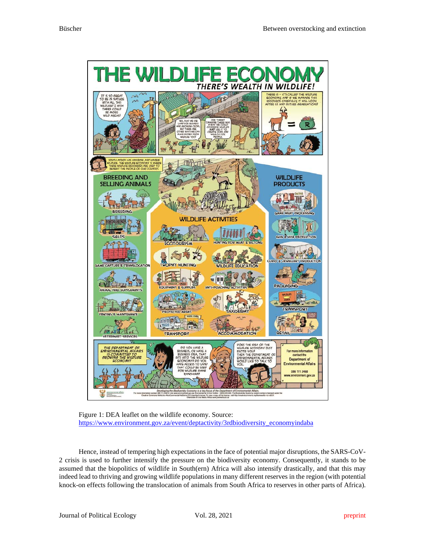



Hence, instead of tempering high expectations in the face of potential major disruptions, the SARS-CoV-2 crisis is used to further intensify the pressure on the biodiversity economy. Consequently, it stands to be assumed that the biopolitics of wildlife in South(ern) Africa will also intensify drastically, and that this may indeed lead to thriving and growing wildlife populations in many different reserves in the region (with potential knock-on effects following the translocation of animals from South Africa to reserves in other parts of Africa).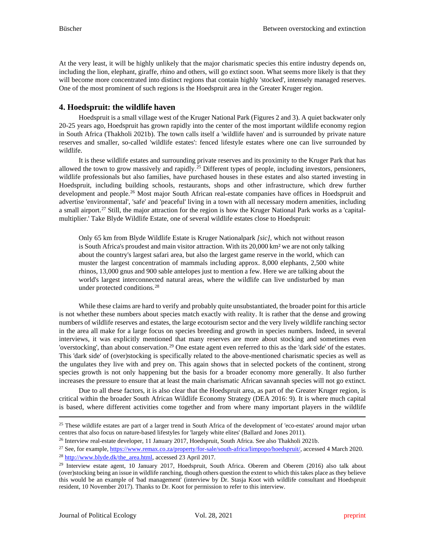At the very least, it will be highly unlikely that the major charismatic species this entire industry depends on, including the lion, elephant, giraffe, rhino and others, will go extinct soon. What seems more likely is that they will become more concentrated into distinct regions that contain highly 'stocked', intensely managed reserves. One of the most prominent of such regions is the Hoedspruit area in the Greater Kruger region.

## **4. Hoedspruit: the wildlife haven**

Hoedspruit is a small village west of the Kruger National Park (Figures 2 and 3). A quiet backwater only 20-25 years ago, Hoedspruit has grown rapidly into the center of the most important wildlife economy region in South Africa (Thakholi 2021b). The town calls itself a 'wildlife haven' and is surrounded by private nature reserves and smaller, so-called 'wildlife estates': fenced lifestyle estates where one can live surrounded by wildlife.

It is these wildlife estates and surrounding private reserves and its proximity to the Kruger Park that has allowed the town to grow massively and rapidly.<sup>[25](#page-11-0)</sup> Different types of people, including investors, pensioners, wildlife professionals but also families, have purchased houses in these estates and also started investing in Hoedspruit, including building schools, restaurants, shops and other infrastructure, which drew further development and people.<sup>[26](#page-11-1)</sup> Most major South African real-estate companies have offices in Hoedspruit and advertise 'environmental', 'safe' and 'peaceful' living in a town with all necessary modern amenities, including a small airport.[27](#page-11-2) Still, the major attraction for the region is how the Kruger National Park works as a 'capitalmultiplier.' Take Blyde Wildlife Estate, one of several wildlife estates close to Hoedspruit:

Only 65 km from Blyde Wildlife Estate is Kruger Nationalpark *[sic]*, which not without reason is South Africa's proudest and main visitor attraction. With its 20,000 km² we are not only talking about the country's largest safari area, but also the largest game reserve in the world, which can muster the largest concentration of mammals including approx. 8,000 elephants, 2,500 white rhinos, 13,000 gnus and 900 sable antelopes just to mention a few. Here we are talking about the world's largest interconnected natural areas, where the wildlife can live undisturbed by man under protected conditions.<sup>[28](#page-11-3)</sup>

While these claims are hard to verify and probably quite unsubstantiated, the broader point for this article is not whether these numbers about species match exactly with reality. It is rather that the dense and growing numbers of wildlife reserves and estates, the large ecotourism sector and the very lively wildlife ranching sector in the area all make for a large focus on species breeding and growth in species numbers. Indeed, in several interviews, it was explicitly mentioned that many reserves are more about stocking and sometimes even 'overstocking', than about conservation.<sup>[29](#page-11-4)</sup> One estate agent even referred to this as the 'dark side' of the estates. This 'dark side' of (over)stocking is specifically related to the above-mentioned charismatic species as well as the ungulates they live with and prey on. This again shows that in selected pockets of the continent, strong species growth is not only happening but the basis for a broader economy more generally. It also further increases the pressure to ensure that at least the main charismatic African savannah species will not go extinct.

Due to all these factors, it is also clear that the Hoedspruit area, as part of the Greater Kruger region, is critical within the broader South African Wildlife Economy Strategy (DEA 2016: 9). It is where much capital is based, where different activities come together and from where many important players in the wildlife

<span id="page-11-0"></span> $25$  These wildlife estates are part of a larger trend in South Africa of the development of 'eco-estates' around major urban centres that also focus on nature-based lifestyles for 'largely white elites' (Ballard and Jones 2011).

<span id="page-11-2"></span><span id="page-11-1"></span><sup>26</sup> Interview real-estate developer, 11 January 2017, Hoedspruit, South Africa. See also Thakholi 2021b.

<sup>&</sup>lt;sup>27</sup> See, for example[, https://www.remax.co.za/property/for-sale/south-africa/limpopo/hoedspruit/,](https://www.remax.co.za/property/for-sale/south-africa/limpopo/hoedspruit/) accessed 4 March 2020. <sup>28</sup> [http://www.blyde.dk/the\\_area.html,](http://www.blyde.dk/the_area.html) accessed 23 April 2017.

<span id="page-11-4"></span><span id="page-11-3"></span><sup>&</sup>lt;sup>29</sup> Interview estate agent, 10 January 2017, Hoedspruit, South Africa. Oberem and Oberem (2016) also talk about (over)stocking being an issue in wildlife ranching, though others question the extent to which this takes place as they believe this would be an example of 'bad management' (interview by Dr. Stasja Koot with wildlife consultant and Hoedspruit resident, 10 November 2017). Thanks to Dr. Koot for permission to refer to this interview.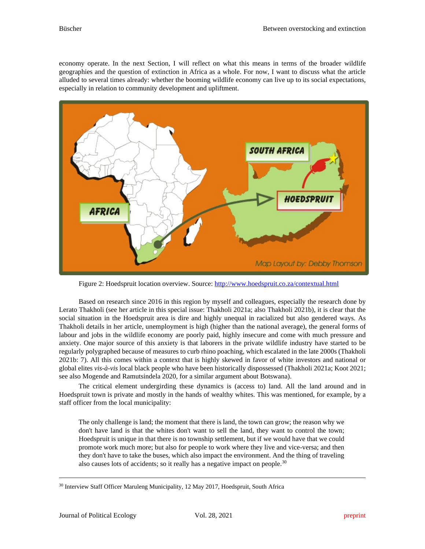economy operate. In the next Section, I will reflect on what this means in terms of the broader wildlife geographies and the question of extinction in Africa as a whole. For now, I want to discuss what the article alluded to several times already: whether the booming wildlife economy can live up to its social expectations, especially in relation to community development and upliftment.



Figure 2: Hoedspruit location overview. Source:<http://www.hoedspruit.co.za/contextual.html>

Based on research since 2016 in this region by myself and colleagues, especially the research done by Lerato Thakholi (see her article in this special issue: Thakholi 2021a; also Thakholi 2021b), it is clear that the social situation in the Hoedspruit area is dire and highly unequal in racialized but also gendered ways. As Thakholi details in her article, unemployment is high (higher than the national average), the general forms of labour and jobs in the wildlife economy are poorly paid, highly insecure and come with much pressure and anxiety. One major source of this anxiety is that laborers in the private wildlife industry have started to be regularly polygraphed because of measures to curb rhino poaching, which escalated in the late 2000s (Thakholi 2021b: 7). All this comes within a context that is highly skewed in favor of white investors and national or global elites *vis-à-vis* local black people who have been historically dispossessed (Thakholi 2021a; Koot 2021; see also Mogende and Ramutsindela 2020, for a similar argument about Botswana).

The critical element undergirding these dynamics is (access to) land. All the land around and in Hoedspruit town is private and mostly in the hands of wealthy whites. This was mentioned, for example, by a staff officer from the local municipality:

The only challenge is land; the moment that there is land, the town can grow; the reason why we don't have land is that the whites don't want to sell the land, they want to control the town; Hoedspruit is unique in that there is no township settlement, but if we would have that we could promote work much more; but also for people to work where they live and vice-versa; and then they don't have to take the buses, which also impact the environment. And the thing of traveling also causes lots of accidents; so it really has a negative impact on people.<sup>[30](#page-12-0)</sup>

<span id="page-12-0"></span><sup>&</sup>lt;sup>30</sup> Interview Staff Officer Maruleng Municipality, 12 May 2017, Hoedspruit, South Africa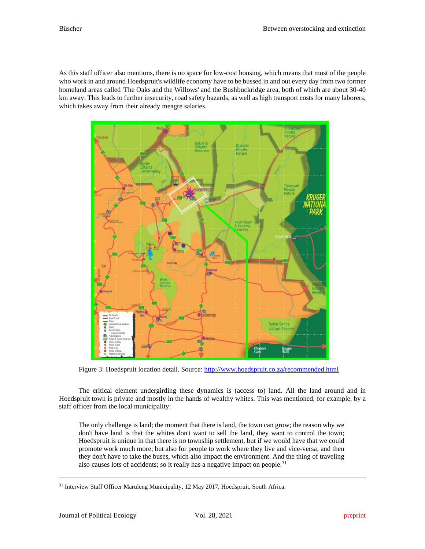As this staff officer also mentions, there is no space for low-cost housing, which means that most of the people who work in and around Hoedspruit's wildlife economy have to be bussed in and out every day from two former homeland areas called 'The Oaks and the Willows' and the Bushbuckridge area, both of which are about 30-40 km away. This leads to further insecurity, road safety hazards, as well as high transport costs for many laborers, which takes away from their already meagre salaries.



Figure 3: Hoedspruit location detail. Source:<http://www.hoedspruit.co.za/recommended.html>

The critical element undergirding these dynamics is (access to) land. All the land around and in Hoedspruit town is private and mostly in the hands of wealthy whites. This was mentioned, for example, by a staff officer from the local municipality:

The only challenge is land; the moment that there is land, the town can grow; the reason why we don't have land is that the whites don't want to sell the land, they want to control the town; Hoedspruit is unique in that there is no township settlement, but if we would have that we could promote work much more; but also for people to work where they live and vice-versa; and then they don't have to take the buses, which also impact the environment. And the thing of traveling also causes lots of accidents; so it really has a negative impact on people.<sup>[31](#page-13-0)</sup>

<span id="page-13-0"></span><sup>&</sup>lt;sup>31</sup> Interview Staff Officer Maruleng Municipality, 12 May 2017, Hoedspruit, South Africa.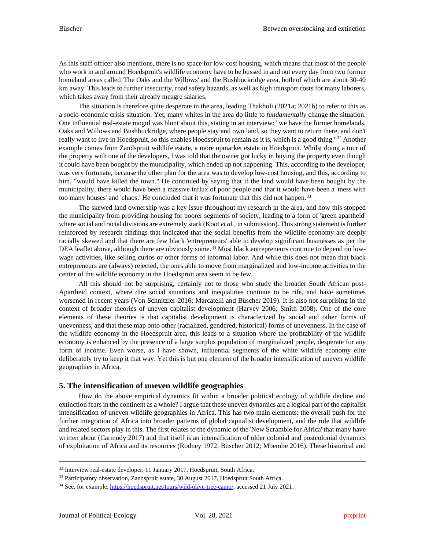As this staff officer also mentions, there is no space for low-cost housing, which means that most of the people who work in and around Hoedspruit's wildlife economy have to be bussed in and out every day from two former homeland areas called 'The Oaks and the Willows' and the Bushbuckridge area, both of which are about 30-40 km away. This leads to further insecurity, road safety hazards, as well as high transport costs for many laborers, which takes away from their already meagre salaries.

The situation is therefore quite desperate in the area, leading Thakholi (2021a; 2021b) to refer to this as a socio-economic crisis situation. Yet, many whites in the area do little to *fundamentally* change the situation. One influential real-estate mogul was blunt about this, stating in an interview: "we have the former homelands, Oaks and Willows and Bushbuckridge, where people stay and own land, so they want to return there, and don't really want to live in Hoedspruit, so this enables Hoedspruit to remain as it is, which is a good thing."<sup>[32](#page-14-0)</sup> Another example comes from Zandspruit wildlife estate, a more upmarket estate in Hoedspruit. Whilst doing a tour of the property with one of the developers, I was told that the owner got lucky in buying the property even though it could have been bought by the municipality, which ended up not happening. This, according to the developer, was very fortunate, because the other plan for the area was to develop low-cost housing, and this, according to him, "would have killed the town." He continued by saying that if the land would have been bought by the municipality, there would have been a massive influx of poor people and that it would have been a 'mess with too many houses' and 'chaos.' He concluded that it was fortunate that this did not happen.<sup>[33](#page-14-1)</sup>

The skewed land ownership was a key issue throughout my research in the area, and how this stopped the municipality from providing housing for poorer segments of society, leading to a form of 'green apartheid' where social and racial divisions are extremely stark (Koot *et al.*, in submission). This strong statement is further reinforced by research findings that indicated that the social benefits from the wildlife economy are deeply racially skewed and that there are few black 'entrepreneurs' able to develop significant businesses as per the DEA leaflet above, although there are obviously some.<sup>[34](#page-14-2)</sup> Most black entrepreneurs continue to depend on lowwage activities, like selling curios or other forms of informal labor. And while this does not mean that black entrepreneurs are (always) rejected, the ones able to move from marginalized and low-income activities to the center of the wildlife economy in the Hoedspruit area seem to be few.

All this should not be surprising, certainly not to those who study the broader South African post-Apartheid context, where dire social situations and inequalities continue to be rife, and have sometimes worsened in recent years (Von Schnitzler 2016; Marcatelli and Büscher 2019). It is also not surprising in the context of broader theories of uneven capitalist development (Harvey 2006; Smith 2008). One of the core elements of these theories is that capitalist development is characterized by social and other forms of unevenness, and that these map onto other (racialized, gendered, historical) forms of unevenness. In the case of the wildlife economy in the Hoedspruit area, this leads to a situation where the profitability of the wildlife economy is enhanced by the presence of a large surplus population of marginalized people, desperate for any form of income. Even worse, as I have shown, influential segments of the white wildlife economy elite deliberately try to keep it that way. Yet this is but one element of the broader intensification of uneven wildlife geographies in Africa.

#### **5. The intensification of uneven wildlife geographies**

How do the above empirical dynamics fit within a broader political ecology of wildlife decline and extinction fears in the continent as a whole? I argue that these uneven dynamics are a logical part of the capitalist intensification of uneven wildlife geographies in Africa. This has two main elements: the overall push for the further integration of Africa into broader patterns of global capitalist development, and the role that wildlife and related sectors play in this. The first relates to the dynamic of the 'New Scramble for Africa' that many have written about (Carmody 2017) and that itself is an intensification of older colonial and postcolonial dynamics of exploitation of Africa and its resources (Rodney 1972; Büscher 2012; Mbembe 2016). These historical and

<span id="page-14-0"></span><sup>32</sup> Interview real-estate developer, 11 January 2017, Hoedspruit, South Africa.

<span id="page-14-1"></span><sup>&</sup>lt;sup>33</sup> Participatory observation, Zandspruit estate, 30 August 2017, Hoedspruit South Africa.

<span id="page-14-2"></span><sup>34</sup> See, for example[, https://hoedspruit.net/tours/wild-olive-tree-camp/,](https://hoedspruit.net/tours/wild-olive-tree-camp/) accessed 21 July 2021.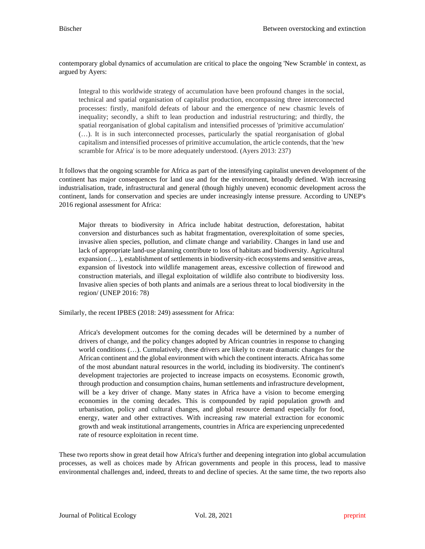contemporary global dynamics of accumulation are critical to place the ongoing 'New Scramble' in context, as argued by Ayers:

Integral to this worldwide strategy of accumulation have been profound changes in the social, technical and spatial organisation of capitalist production, encompassing three interconnected processes: firstly, manifold defeats of labour and the emergence of new chasmic levels of inequality; secondly, a shift to lean production and industrial restructuring; and thirdly, the spatial reorganisation of global capitalism and intensified processes of 'primitive accumulation' (…). It is in such interconnected processes, particularly the spatial reorganisation of global capitalism and intensified processes of primitive accumulation, the article contends, that the 'new scramble for Africa' is to be more adequately understood. (Ayers 2013: 237)

It follows that the ongoing scramble for Africa as part of the intensifying capitalist uneven development of the continent has major consequences for land use and for the environment, broadly defined. With increasing industrialisation, trade, infrastructural and general (though highly uneven) economic development across the continent, lands for conservation and species are under increasingly intense pressure. According to UNEP's 2016 regional assessment for Africa:

Major threats to biodiversity in Africa include habitat destruction, deforestation, habitat conversion and disturbances such as habitat fragmentation, overexploitation of some species, invasive alien species, pollution, and climate change and variability. Changes in land use and lack of appropriate land-use planning contribute to loss of habitats and biodiversity. Agricultural expansion (… ), establishment of settlements in biodiversity-rich ecosystems and sensitive areas, expansion of livestock into wildlife management areas, excessive collection of firewood and construction materials, and illegal exploitation of wildlife also contribute to biodiversity loss. Invasive alien species of both plants and animals are a serious threat to local biodiversity in the region/ (UNEP 2016: 78)

Similarly, the recent IPBES (2018: 249) assessment for Africa:

Africa's development outcomes for the coming decades will be determined by a number of drivers of change, and the policy changes adopted by African countries in response to changing world conditions (…). Cumulatively, these drivers are likely to create dramatic changes for the African continent and the global environment with which the continent interacts. Africa has some of the most abundant natural resources in the world, including its biodiversity. The continent's development trajectories are projected to increase impacts on ecosystems. Economic growth, through production and consumption chains, human settlements and infrastructure development, will be a key driver of change. Many states in Africa have a vision to become emerging economies in the coming decades. This is compounded by rapid population growth and urbanisation, policy and cultural changes, and global resource demand especially for food, energy, water and other extractives. With increasing raw material extraction for economic growth and weak institutional arrangements, countries in Africa are experiencing unprecedented rate of resource exploitation in recent time.

These two reports show in great detail how Africa's further and deepening integration into global accumulation processes, as well as choices made by African governments and people in this process, lead to massive environmental challenges and, indeed, threats to and decline of species. At the same time, the two reports also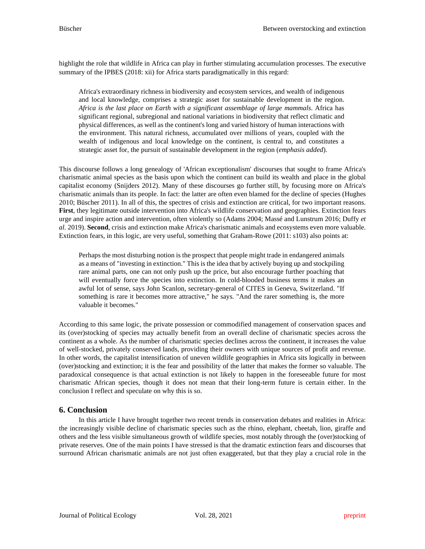highlight the role that wildlife in Africa can play in further stimulating accumulation processes. The executive summary of the IPBES (2018: xii) for Africa starts paradigmatically in this regard:

Africa's extraordinary richness in biodiversity and ecosystem services, and wealth of indigenous and local knowledge, comprises a strategic asset for sustainable development in the region. *Africa is the last place on Earth with a significant assemblage of large mammals*. Africa has significant regional, subregional and national variations in biodiversity that reflect climatic and physical differences, as well as the continent's long and varied history of human interactions with the environment. This natural richness, accumulated over millions of years, coupled with the wealth of indigenous and local knowledge on the continent, is central to, and constitutes a strategic asset for, the pursuit of sustainable development in the region (*emphasis added*).

This discourse follows a long genealogy of 'African exceptionalism' discourses that sought to frame Africa's charismatic animal species as the basis upon which the continent can build its wealth and place in the global capitalist economy (Snijders 2012). Many of these discourses go further still, by focusing more on Africa's charismatic animals than its people. In fact: the latter are often even blamed for the decline of species (Hughes 2010; Büscher 2011). In all of this, the spectres of crisis and extinction are critical, for two important reasons. **First**, they legitimate outside intervention into Africa's wildlife conservation and geographies. Extinction fears urge and inspire action and intervention, often violently so (Adams 2004; Massé and Lunstrum 2016; Duffy *et al.* 2019). **Second**, crisis and extinction make Africa's charismatic animals and ecosystems even more valuable. Extinction fears, in this logic, are very useful, something that Graham-Rowe (2011: s103) also points at:

Perhaps the most disturbing notion is the prospect that people might trade in endangered animals as a means of "investing in extinction." This is the idea that by actively buying up and stockpiling rare animal parts, one can not only push up the price, but also encourage further poaching that will eventually force the species into extinction. In cold-blooded business terms it makes an awful lot of sense, says John Scanlon, secretary-general of CITES in Geneva, Switzerland. "If something is rare it becomes more attractive," he says. "And the rarer something is, the more valuable it becomes."

According to this same logic, the private possession or commodified management of conservation spaces and its (over)stocking of species may actually benefit from an overall decline of charismatic species across the continent as a whole. As the number of charismatic species declines across the continent, it increases the value of well-stocked, privately conserved lands, providing their owners with unique sources of profit and revenue. In other words, the capitalist intensification of uneven wildlife geographies in Africa sits logically in between (over)stocking and extinction; it is the fear and possibility of the latter that makes the former so valuable. The paradoxical consequence is that actual extinction is not likely to happen in the foreseeable future for most charismatic African species, though it does not mean that their long-term future is certain either. In the conclusion I reflect and speculate on why this is so.

#### **6. Conclusion**

In this article I have brought together two recent trends in conservation debates and realities in Africa: the increasingly visible decline of charismatic species such as the rhino, elephant, cheetah, lion, giraffe and others and the less visible simultaneous growth of wildlife species, most notably through the (over)stocking of private reserves. One of the main points I have stressed is that the dramatic extinction fears and discourses that surround African charismatic animals are not just often exaggerated, but that they play a crucial role in the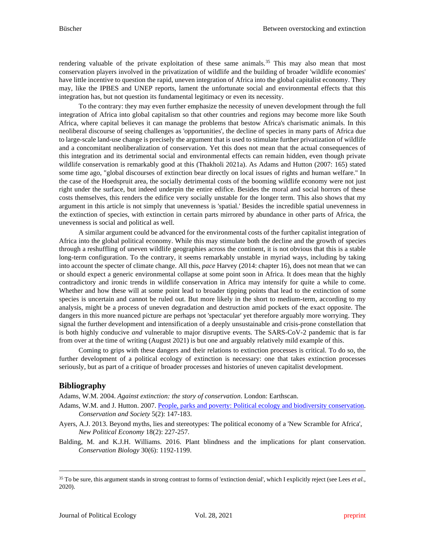rendering valuable of the private exploitation of these same animals.<sup>[35](#page-17-0)</sup> This may also mean that most conservation players involved in the privatization of wildlife and the building of broader 'wildlife economies' have little incentive to question the rapid, uneven integration of Africa into the global capitalist economy. They may, like the IPBES and UNEP reports, lament the unfortunate social and environmental effects that this integration has, but not question its fundamental legitimacy or even its necessity.

To the contrary: they may even further emphasize the necessity of uneven development through the full integration of Africa into global capitalism so that other countries and regions may become more like South Africa, where capital believes it can manage the problems that bestow Africa's charismatic animals. In this neoliberal discourse of seeing challenges as 'opportunities', the decline of species in many parts of Africa due to large-scale land-use change is precisely the argument that is used to stimulate further privatization of wildlife and a concomitant neoliberalization of conservation. Yet this does not mean that the actual consequences of this integration and its detrimental social and environmental effects can remain hidden, even though private wildlife conservation is remarkably good at this (Thakholi 2021a). As Adams and Hutton (2007: 165) stated some time ago, "global discourses of extinction bear directly on local issues of rights and human welfare." In the case of the Hoedspruit area, the socially detrimental costs of the booming wildlife economy were not just right under the surface, but indeed underpin the entire edifice. Besides the moral and social horrors of these costs themselves, this renders the edifice very socially unstable for the longer term. This also shows that my argument in this article is not simply that unevenness is 'spatial.' Besides the incredible spatial unevenness in the extinction of species, with extinction in certain parts mirrored by abundance in other parts of Africa, the unevenness is social and political as well.

A similar argument could be advanced for the environmental costs of the further capitalist integration of Africa into the global political economy. While this may stimulate both the decline and the growth of species through a reshuffling of uneven wildlife geographies across the continent, it is not obvious that this is a stable long-term configuration. To the contrary, it seems remarkably unstable in myriad ways, including by taking into account the specter of climate change. All this, *pace* Harvey (2014: chapter 16), does not mean that we can or should expect a generic environmental collapse at some point soon in Africa. It does mean that the highly contradictory and ironic trends in wildlife conservation in Africa may intensify for quite a while to come. Whether and how these will at some point lead to broader tipping points that lead to the extinction of some species is uncertain and cannot be ruled out. But more likely in the short to medium-term, according to my analysis, might be a process of uneven degradation and destruction amid pockets of the exact opposite. The dangers in this more nuanced picture are perhaps not 'spectacular' yet therefore arguably more worrying. They signal the further development and intensification of a deeply unsustainable and crisis-prone constellation that is both highly conducive *and* vulnerable to major disruptive events. The SARS-CoV-2 pandemic that is far from over at the time of writing (August 2021) is but one and arguably relatively mild example of this.

Coming to grips with these dangers and their relations to extinction processes is critical. To do so, the further development of a political ecology of extinction is necessary: one that takes extinction processes seriously, but as part of a critique of broader processes and histories of uneven capitalist development.

# **Bibliography**

Adams, W.M. 2004. *Against extinction: the story of conservation*. London: Earthscan.

- Adams, W.M. and J. Hutton. 2007[. People, parks and poverty: Political ecology and biodiversity conservation.](https://www.conservationandsociety.org.in/article.asp?issn=0972-4923;year=2007;volume=5;issue=2;spage=147;epage=183;aulast=Adams;type=0) *Conservation and Society* 5(2): 147-183.
- Ayers, A.J. 2013. Beyond myths, lies and stereotypes: The political economy of a 'New Scramble for Africa', *New Political Economy* 18(2): 227-257.
- Balding, M. and K.J.H. Williams. 2016. Plant blindness and the implications for plant conservation. *Conservation Biology* 30(6): 1192-1199.

<span id="page-17-0"></span><sup>35</sup> To be sure, this argument stands in strong contrast to forms of 'extinction denial', which I explicitly reject (see Lees *et al.*, 2020).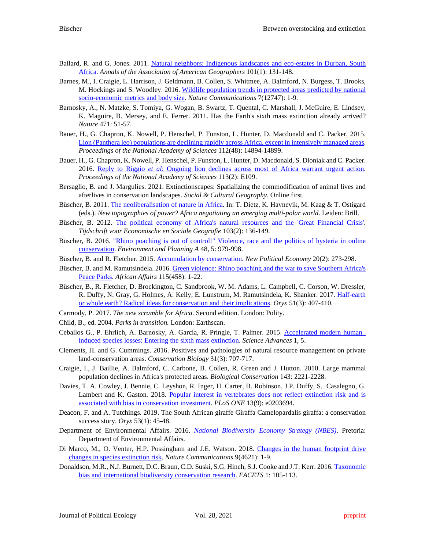- Ballard, R. and G. Jones. 2011. [Natural neighbors: Indigenous landscapes and eco-estates in Durban, South](http://eprints.lse.ac.uk/22523/1/Natural%20neighbors%20%28lsero%29.pdf)  [Africa.](http://eprints.lse.ac.uk/22523/1/Natural%20neighbors%20%28lsero%29.pdf) *Annals of the Association of American Geographers* 101(1): 131-148.
- Barnes, M., I. Craigie, L. Harrison, J. Geldmann, B. Collen, S. Whitmee, A. Balmford, N. Burgess, T. Brooks, M. Hockings and S. Woodley. 2016. [Wildlife population trends in protected areas predicted by national](https://doi.org/10.1038/ncomms12747)  [socio-economic metrics and body size.](https://doi.org/10.1038/ncomms12747) *Nature Communications* 7(12747): 1-9.
- Barnosky, A., N. Matzke, S. Tomiya, G. Wogan, B. Swartz, T. Quental, C. Marshall, J. McGuire, E. Lindsey, K. Maguire, B. Mersey, and E. Ferrer. 2011. Has the Earth's sixth mass extinction already arrived? *Nature* 471: 51-57.
- Bauer, H., G. Chapron, K. Nowell, P. Henschel, P. Funston, L. Hunter, D. Macdonald and C. Packer. 2015. [Lion \(Panthera leo\) populations are declining rapidly across Africa, except in intensively managed areas.](https://doi.org/10.1073/pnas.1500664112) *Proceedings of the National Academy of Sciences* 112(48): 14894-14899.
- Bauer, H., G. Chapron, K. Nowell, P. Henschel, P. Funston, L. Hunter, D. Macdonald, S. Dloniak and C. Packer. 2016. Reply to Riggio *et al*[: Ongoing lion declines across most of Africa warrant urgent action.](https://doi.org/10.1073/pnas.1522741113) *Proceedings of the National Academy of Sciences* 113(2): E109.
- Bersaglio, B. and J. Margulies. 2021. Extinctionscapes: Spatializing the commodification of animal lives and afterlives in conservation landscapes. *Social & Cultural Geography*. Online first.
- Büscher, B. 2011[. The neoliberalisation of nature in Africa.](https://brambuscher.files.wordpress.com/2011/01/bc3bcscher-neolib-nature-chapter-2011.pdf) In: T. Dietz, K. Havnevik, M. Kaag & T. Ostigard (eds.). *New topographies of power? Africa negotiating an emerging multi-polar world*. Leiden: Brill.
- Büscher, B. 2012. [The political economy of Africa's natural resources and the 'Great Financial Crisis'.](https://brambuscher.files.wordpress.com/2011/01/bc3bcscher-pe-of-africas-natural-resources-tesg-2012-final.pdf) *Tijdschrift voor Economische en Sociale Geografie* 103(2): 136-149.
- Büscher, B. 2016. "Rhino poaching is out of control!" [Violence, race and the politics of hysteria in online](https://brambuscher.files.wordpress.com/2011/01/bucc88scher-rhino-online-violence-epa2016.pdf)  [conservation.](https://brambuscher.files.wordpress.com/2011/01/bucc88scher-rhino-online-violence-epa2016.pdf) *Environment and Planning A* 48, 5: 979-998.
- Büscher, B. and R. Fletcher. 2015. [Accumulation by conservation.](https://brambuscher.files.wordpress.com/2011/01/bucc88scherfletcher-accumulation-by-conservation-npe-2014.pdf) *New Political Economy* 20(2): 273-298.
- Büscher, B. and M. Ramutsindela. 2016. Green violence: Rhino poaching and the war to save Southern Africa's [Peace Parks.](http://gawsmith.ucdavis.edu/uploads/2/0/1/6/20161677/buscher_ramutsindela_2015.pdf) *African Affairs* 115(458): 1-22.
- Büscher, B., R. Fletcher, D. Brockington, C. Sandbrook, W. M. Adams, L. Campbell, C. Corson, W. Dressler, R. Duffy, N. Gray, G. Holmes, A. Kelly, E. Lunstrum, M. Ramutsindela, K. Shanker. 2017. [Half-earth](https://brambuscher.files.wordpress.com/2011/01/bucc88scher-et-al-half-earth-or-whole-earth-oryx2017.pdf)  [or whole earth? Radical ideas for conservation and their implications.](https://brambuscher.files.wordpress.com/2011/01/bucc88scher-et-al-half-earth-or-whole-earth-oryx2017.pdf) *Oryx* 51(3): 407-410.
- Carmody, P. 2017. *The new scramble for Africa*. Second edition. London: Polity.
- Child, B., ed. 2004. *Parks in transition.* London: Earthscan.
- Ceballos G., P. Ehrlich, A. Barnosky, A. García, R. Pringle, T. Palmer. 2015. [Accelerated modern human–](http://doi.org/10.1126/sciadv.1400253) [induced species losses: Entering the sixth mass extinction.](http://doi.org/10.1126/sciadv.1400253) *Science Advances* 1, 5.
- Clements, H. and G. Cummings. 2016. Positives and pathologies of natural resource management on private land-conservation areas. *Conservation Biology* 31(3): 707-717.
- Craigie, I., J. Baillie, A. Balmford, C. Carbone, B. Collen, R. Green and J. Hutton. 2010. Large mammal population declines in Africa's protected areas. *Biological Conservation* 143: 2221-2228.
- Davies, T. A. Cowley, J. Bennie, C. Leyshon, R. Inger, H. Carter, B. Robinson, J.P. Duffy, S. Casalegno, G. Lambert and K. Gaston. 2018. [Popular interest in vertebrates does not reflect extinction risk and is](https://doi.org/10.1371/journal.pone.0203694)  [associated with bias in conservation investment.](https://doi.org/10.1371/journal.pone.0203694) *PLoS ONE* 13(9): e0203694.
- Deacon, F. and A. Tutchings. 2019. The South African giraffe Giraffa Camelopardalis giraffa: a conservation success story. *Oryx* 53(1): 45-48.
- Department of Environmental Affairs. 2016. *[National Biodiversity Economy Strategy \(NBES\)](https://www.environment.gov.za/sites/default/files/reports/nationalbiodiversityeconomystrategy.pdf)*. Pretoria: Department of Environmental Affairs.
- Di Marco, M., O. Venter, H.P. Possingham and J.E. Watson. 2018. [Changes in the human footprint drive](https://doi.org/10.1038/s41467-018-07049-5)  [changes in species extinction risk.](https://doi.org/10.1038/s41467-018-07049-5) *Nature Communications* 9(4621): 1-9.
- Donaldson, M.R., N.J. Burnett, D.C. Braun, C.D. Suski, S.G. Hinch, S.J. Cooke and J.T. Kerr. 2016[. Taxonomic](https://pdfs.semanticscholar.org/50e1/122f6c3b593a3c044686a9e5f77c94129b04.pdf?_ga=2.36336928.1677463590.1626934671-413556080.1624443532)  [bias and international biodiversity conservation research.](https://pdfs.semanticscholar.org/50e1/122f6c3b593a3c044686a9e5f77c94129b04.pdf?_ga=2.36336928.1677463590.1626934671-413556080.1624443532) *FACETS* 1: 105-113.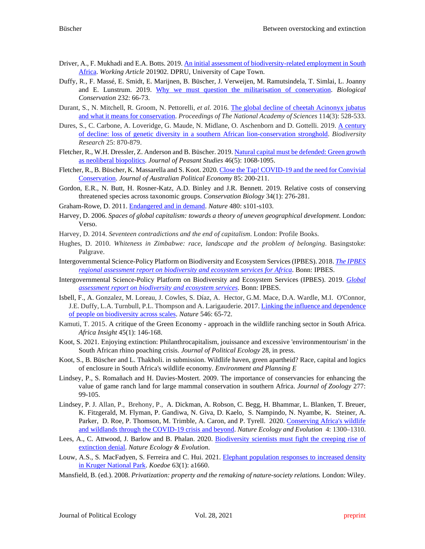- Driver, A., F. Mukhadi and E.A. Botts. 2019. An initial assessment of biodiversity-related employment in South [Africa.](https://www.redi3x3.org/sites/default/files/Driver%20%26%20Mukhadi%202019%20REDI3x3%20Working%20Paper%2057%20Biodiversity-related%20employment%20in%20SA.pdf) *Working Article* 201902. DPRU, University of Cape Town.
- Duffy, R., F. Massé, E. Smidt, E. Marijnen, B. Büscher, J. Verweijen, M. Ramutsindela, T. Simlai, L. Joanny and E. Lunstrum. 2019. [Why we must question the militarisation of conservation.](https://doi.org/10.1016/j.biocon.2019.01.013) *Biological Conservation* 232: 66-73.
- Durant, S., N. Mitchell, R. Groom, N. Pettorelli, *et al.* 2016. [The global decline of cheetah Acinonyx jubatus](https://doi.org/10.1073/pnas.1611122114)  [and what it means for conservation.](https://doi.org/10.1073/pnas.1611122114) *Proceedings of The National Academy of Sciences* 114(3): 528-533.
- Dures, S., C. Carbone, A. Loveridge, G. Maude, N. Midlane, O. Aschenborn and D. Gottelli. 2019. [A century](https://doi.org/10.1111/ddi.12905)  [of decline: loss of genetic diversity in a southern African lion-conservation stronghold.](https://doi.org/10.1111/ddi.12905) *Biodiversity Research* 25: 870-879.
- Fletcher, R., W.H. Dressler, Z. Anderson and B. Büscher. 2019. Natural capital must be defended: Green growth [as neoliberal biopolitics.](https://www.tandfonline.com/doi/pdf/10.1080/03066150.2018.1428953?needAccess=true) *Journal of Peasant Studies* 46(5): 1068-1095.
- Fletcher, R., B. Büscher, K. Massarella and S. Koot. 2020[. Close the Tap! COVID-19 and the need for Convivial](https://www.ppesydney.net/content/uploads/2020/06/28_Fletcher-et-al.pdf)  [Conservation.](https://www.ppesydney.net/content/uploads/2020/06/28_Fletcher-et-al.pdf) *Journal of Australian Political Economy* 85: 200-211.
- Gordon, E.R., N. Butt, H. Rosner-Katz, A.D. Binley and J.R. Bennett. 2019. Relative costs of conserving threatened species across taxonomic groups. *Conservation Biology* 34(1): 276-281.
- Graham-Rowe, D. 2011. [Endangered and in demand.](https://doi.org/10.1038/480S101a) *Nature* 480: s101-s103.
- Harvey, D. 2006. *Spaces of global capitalism: towards a theory of uneven geographical development*. London: Verso.
- Harvey, D. 2014. *Seventeen contradictions and the end of capitalism*. London: Profile Books.
- Hughes, D. 2010. *Whiteness in Zimbabwe: race, landscape and the problem of belonging*. Basingstoke: Palgrave.
- Intergovernmental Science-Policy Platform on Biodiversity and Ecosystem Services (IPBES). 2018. *[The IPBES](https://ipbes.net/assessment-reports/africa)  [regional assessment report on biodiversity and ecosystem services for Africa](https://ipbes.net/assessment-reports/africa)*. Bonn: IPBES.
- Intergovernmental Science-Policy Platform on Biodiversity and Ecosystem Services (IPBES). 2019. *[Global](https://ipbes.net/global-assessment)  [assessment report on biodiversity and ecosystem services](https://ipbes.net/global-assessment)*. Bonn: IPBES.
- Isbell, F., A. Gonzalez, M. Loreau, J. Cowles, S. Díaz, A. Hector, G.M. Mace, D.A. Wardle, M.I. O'Connor, J.E. Duffy, L.A. Turnbull, P.L. Thompson and A. Larigauderie. 2017. Linking the influence and dependence [of people on biodiversity across scales.](https://core.ac.uk/download/pdf/111012871.pdf) *Nature* 546: 65-72.
- Kamuti, T. 2015. A critique of the Green Economy approach in the wildlife ranching sector in South Africa. *Africa Insight* 45(1): 146-168.
- Koot, S. 2021. Enjoying extinction: Philanthrocapitalism, jouissance and excessive 'environmentourism' in the South African rhino poaching crisis. *Journal of Political Ecology* 28, in press.
- Koot, S., B. Büscher and L. Thakholi. in submission. Wildlife haven, green apartheid? Race, capital and logics of enclosure in South Africa's wildlife economy. *Environment and Planning E*
- Lindsey, P., S. Romañach and H. Davies-Mostert. 2009. The importance of conservancies for enhancing the value of game ranch land for large mammal conservation in southern Africa. *Journal of Zoology* 277: 99-105.
- Lindsey, P. J. Allan, P., Brehony, P., A. Dickman, A. Robson, C. Begg, H. Bhammar, L. Blanken, T. Breuer, K. Fitzgerald, M. Flyman, P. Gandiwa, N. Giva, D. Kaelo, S. Nampindo, N. Nyambe, K. Steiner, A. Parker, D. Roe, P. Thomson, M. Trimble, A. Caron, and P. Tyrell. 2020. Conserving Africa's wildlife and wildlands through [the COVID-19 crisis and beyond.](https://doi.org/10.1038/s41559-020-1275-6) *Nature Ecology and Evolution* 4: 1300–1310.
- Lees, A., C. Attwood, J. Barlow and B. Phalan. 2020. [Biodiversity scientists must fight the creeping rise of](https://doi.org/10.1038/s41559-020-01285-z)  [extinction denial.](https://doi.org/10.1038/s41559-020-01285-z) *Nature Ecology & Evolution*.
- Louw, A.S., S. MacFadyen, S. Ferreira and C. Hui. 2021. Elephant population responses to increased density [in Kruger National Park.](https://doi.org/10.4102/koedoe.v63i1.1660) *Koedoe* 63(1): a1660.
- Mansfield, B. (ed.). 2008. *Privatization: property and the remaking of nature-society relations.* London: Wiley.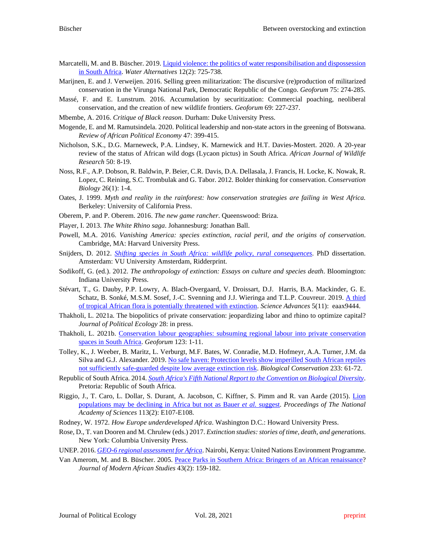- Marcatelli, M. and B. Büscher. 2019. Liquid violence: the politics of water responsibilisation and dispossession [in South Africa.](https://www.water-alternatives.org/index.php/alldoc/articles/vol12/v12issue3/526-a12-2-9/file) *Water Alternatives* 12(2): 725-738.
- Marijnen, E. and J. Verweijen. 2016. Selling green militarization: The discursive (re)production of militarized conservation in the Virunga National Park, Democratic Republic of the Congo. *Geoforum* 75: 274-285.
- Massé, F. and E. Lunstrum. 2016. Accumulation by securitization: Commercial poaching, neoliberal conservation, and the creation of new wildlife frontiers. *Geoforum* 69: 227-237.
- Mbembe, A. 2016. *Critique of Black reason*. Durham: Duke University Press.
- Mogende, E. and M. Ramutsindela. 2020. Political leadership and non-state actors in the greening of Botswana. *Review of African Political Economy* 47: 399-415.
- Nicholson, S.K., D.G. Marneweck, P.A. Lindsey, K. Marnewick and H.T. Davies-Mostert. 2020. A 20-year review of the status of African wild dogs (Lycaon pictus) in South Africa. *African Journal of Wildlife Research* 50: 8-19.
- Noss, R.F., A.P. Dobson, R. Baldwin, P. Beier, C.R. Davis, D.A. Dellasala, J. Francis, H. Locke, K. Nowak, R. Lopez, C. Reining, S.C. Trombulak and G. Tabor. 2012. Bolder thinking for conservation. *Conservation Biology* 26(1): 1-4.
- Oates, J. 1999. *Myth and reality in the rainforest: how conservation strategies are failing in West Africa.*  Berkeley: University of California Press.
- Oberem, P. and P. Oberem. 2016. *The new game rancher*. Queenswood: Briza.
- Player, I. 2013. *The White Rhino saga*. Johannesburg: Jonathan Ball.
- Powell, M.A. 2016. *Vanishing America: species extinction, racial peril, and the origins of conservation*. Cambridge, MA: Harvard University Press.
- Snijders, D. 2012. *[Shifting species in South Africa: wildlife policy, rural consequences](https://research.vu.nl/en/publications/shifting-species-in-south-africa-wildlife-policy-rural-consequenc)*. PhD dissertation. Amsterdam: VU University Amsterdam, Ridderprint.
- Sodikoff, G. (ed.). 2012. *The anthropology of extinction: Essays on culture and species death*. Bloomington: Indiana University Press.
- Stévart, T., G. Dauby, P.P. Lowry, A. Blach-Overgaard, V. Droissart, D.J. Harris, B.A. Mackinder, G. E. Schatz, B. Sonké, M.S.M. Sosef, J.-C. Svenning and J.J. Wieringa and T.L.P. Couvreur. 2019. A third [of tropical African flora is potentially threatened with extinction.](https://doi.org/10.1126/sciadv.aax9444) *Science Advances* 5(11): eaax9444.
- Thakholi, L. 2021a. The biopolitics of private conservation: jeopardizing labor and rhino to optimize capital? *Journal of Political Ecology* 28: in press.
- Thakholi, L. 2021b. Conservation [labour geographies: subsuming regional labour into private conservation](https://doi.org/10.1016/j.geoforum.2021.04.019)  [spaces in South Africa.](https://doi.org/10.1016/j.geoforum.2021.04.019) *Geoforum* 123: 1-11.
- Tolley, K., J. Weeber, B. Maritz, L. Verburgt, M.F. Bates, W. Conradie, M.D. Hofmeyr, A.A. Turner, J.M. da Silva and G.J. Alexander*.* 2019. [No safe haven: Protection levels show imperilled South African reptiles](https://maritzlab.files.wordpress.com/2019/10/tolley-et-al-2019-biological_conservation.pdf)  [not sufficiently safe-guarded despite low average extinction risk.](https://maritzlab.files.wordpress.com/2019/10/tolley-et-al-2019-biological_conservation.pdf) *Biological Conservation* 233: 61-72.
- Republic of South Africa. 2014. *[South Africa's Fifth National Report to the Convention on Biological Diversity](https://www.cbd.int/doc/world/za/za-nr-05-en.pdf)*. Pretoria: Republic of South Africa.
- Riggio, J., T. Caro, L. Dollar, S. Durant, A. Jacobson, C. Kiffner, S. Pimm and R. van Aarde (2015). [Lion](https://doi.org/10.1073/pnas.1521506113)  [populations may be declining in Africa but not as Bauer](https://doi.org/10.1073/pnas.1521506113) *et al.* suggest. *Proceedings of The National Academy of Sciences* 113(2): E107-E108.
- Rodney, W. 1972. *How Europe underdeveloped Africa*. Washington D.C.: Howard University Press.
- Rose, D., T. van Dooren and M. Chrulew (eds.) 2017. *Extinction studies: stories of time, death, and generations*. New York: Columbia University Press.
- UNEP. 2016. *[GEO-6 regional assessment for Africa](https://www.unep.org/resources/assessment/geo-6-regional-assessment-africa)*. Nairobi, Kenya: United Nations Environment Programme.
- Van Amerom, M. and B. Büscher. 2005. [Peace Parks in Southern Africa: Bringers of an African renaissance?](https://brambuscher.files.wordpress.com/2011/01/van-amerombucc88scher-peace-parks-and-afren-jmas2005.pdf) *Journal of Modern African Studies* 43(2): 159-182.